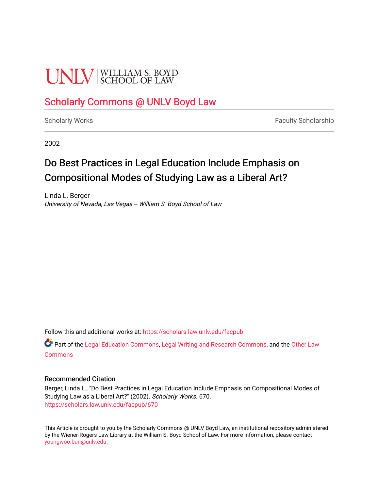# **UNIV** SCHOOL OF LAW

### [Scholarly Commons @ UNLV Boyd Law](https://scholars.law.unlv.edu/)

[Scholarly Works](https://scholars.law.unlv.edu/facpub) **Faculty Scholarship** Faculty Scholarship

2002

## Do Best Practices in Legal Education Include Emphasis on Compositional Modes of Studying Law as a Liberal Art?

Linda L. Berger University of Nevada, Las Vegas -- William S. Boyd School of Law

Follow this and additional works at: [https://scholars.law.unlv.edu/facpub](https://scholars.law.unlv.edu/facpub?utm_source=scholars.law.unlv.edu%2Ffacpub%2F670&utm_medium=PDF&utm_campaign=PDFCoverPages)

Part of the [Legal Education Commons,](http://network.bepress.com/hgg/discipline/857?utm_source=scholars.law.unlv.edu%2Ffacpub%2F670&utm_medium=PDF&utm_campaign=PDFCoverPages) [Legal Writing and Research Commons,](http://network.bepress.com/hgg/discipline/614?utm_source=scholars.law.unlv.edu%2Ffacpub%2F670&utm_medium=PDF&utm_campaign=PDFCoverPages) and the [Other Law](http://network.bepress.com/hgg/discipline/621?utm_source=scholars.law.unlv.edu%2Ffacpub%2F670&utm_medium=PDF&utm_campaign=PDFCoverPages)  **[Commons](http://network.bepress.com/hgg/discipline/621?utm_source=scholars.law.unlv.edu%2Ffacpub%2F670&utm_medium=PDF&utm_campaign=PDFCoverPages)** 

### Recommended Citation

Berger, Linda L., "Do Best Practices in Legal Education Include Emphasis on Compositional Modes of Studying Law as a Liberal Art?" (2002). Scholarly Works. 670. [https://scholars.law.unlv.edu/facpub/670](https://scholars.law.unlv.edu/facpub/670?utm_source=scholars.law.unlv.edu%2Ffacpub%2F670&utm_medium=PDF&utm_campaign=PDFCoverPages)

This Article is brought to you by the Scholarly Commons @ UNLV Boyd Law, an institutional repository administered by the Wiener-Rogers Law Library at the William S. Boyd School of Law. For more information, please contact [youngwoo.ban@unlv.edu.](mailto:youngwoo.ban@unlv.edu)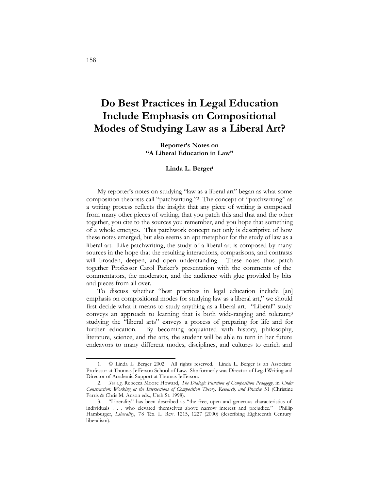### **Do Best Practices in Legal Education Include Emphasis on Compositional Modes of Studying Law as a Liberal Art?**

**Reporter's Notes on "A Liberal Education in Law"**

#### **Linda L. Berger1**

My reporter's notes on studying "law as a liberal art" began as what some composition theorists call "patchwriting."2 The concept of "patchwriting" as a writing process reflects the insight that any piece of writing is composed from many other pieces of writing, that you patch this and that and the other together, you cite to the sources you remember, and you hope that something of a whole emerges. This patchwork concept not only is descriptive of how these notes emerged, but also seems an apt metaphor for the study of law as a liberal art. Like patchwriting, the study of a liberal art is composed by many sources in the hope that the resulting interactions, comparisons, and contrasts will broaden, deepen, and open understanding. These notes thus patch together Professor Carol Parker's presentation with the comments of the commentators, the moderator, and the audience with glue provided by bits and pieces from all over.

To discuss whether "best practices in legal education include [an] emphasis on compositional modes for studying law as a liberal art," we should first decide what it means to study anything as a liberal art. "Liberal" study conveys an approach to learning that is both wide-ranging and tolerant;<sup>3</sup> studying the "liberal arts" conveys a process of preparing for life and for further education. By becoming acquainted with history, philosophy, literature, science, and the arts, the student will be able to turn in her future endeavors to many different modes, disciplines, and cultures to enrich and

<sup>1.</sup> © Linda L. Berger 2002. All rights reserved. Linda L. Berger is an Associate Professor at Thomas Jefferson School of Law. She formerly was Director of Legal Writing and Director of Academic Support at Thomas Jefferson.

<sup>2.</sup> *See e.g*. Rebecca Moore Howard, *The Dialogic Function of Composition Pedagogy,* in *Under Construction: Working at the Intersections of Composition Theory, Research, and Practice* 51 (Christine Farris & Chris M. Anson eds., Utah St. 1998).

<sup>3.</sup> "Liberality" has been described as "the free, open and generous characteristics of individuals . . . who elevated themselves above narrow interest and prejudice." Phillip Hamburger, *Liberality*, 78 Tex. L. Rev. 1215, 1227 (2000) (describing Eighteenth Century liberalism).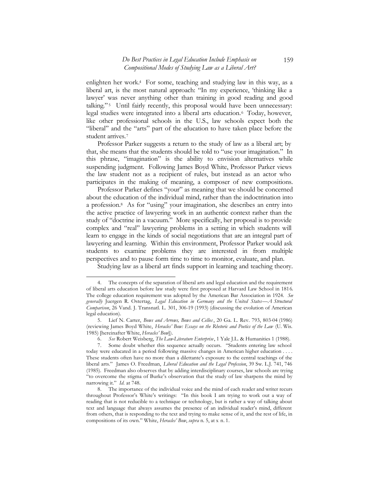enlighten her work.4 For some, teaching and studying law in this way, as a liberal art, is the most natural approach: "In my experience, 'thinking like a lawyer' was never anything other than training in good reading and good talking."<sup>5</sup> Until fairly recently, this proposal would have been unnecessary: legal studies were integrated into a liberal arts education.6 Today, however, like other professional schools in the U.S., law schools expect both the "liberal" and the "arts" part of the education to have taken place before the student arrives.7

Professor Parker suggests a return to the study of law as a liberal art; by that, she means that the students should be told to "use your imagination." In this phrase, "imagination" is the ability to envision alternatives while suspending judgment. Following James Boyd White, Professor Parker views the law student not as a recipient of rules, but instead as an actor who participates in the making of meaning, a composer of new compositions.

Professor Parker defines "your" as meaning that we should be concerned about the education of the individual mind, rather than the indoctrination into a profession.8 As for "using" your imagination, she describes an entry into the active practice of lawyering work in an authentic context rather than the study of "doctrine in a vacuum." More specifically, her proposal is to provide complex and "real" lawyering problems in a setting in which students will learn to engage in the kinds of social negotiations that are an integral part of lawyering and learning. Within this environment, Professor Parker would ask students to examine problems they are interested in from multiple perspectives and to pause form time to time to monitor, evaluate, and plan.

Studying law as a liberal art finds support in learning and teaching theory.

<sup>4.</sup> The concepts of the separation of liberal arts and legal education and the requirement of liberal arts education before law study were first proposed at Harvard Law School in 1816. The college education requirement was adopted by the American Bar Association in 1924. *See generally* Juergen R. Ostertag, *Legal Education in Germany and the United States—A Structural Comparison*, 26 Vand. J. Transnatl. L. 301, 306-19 (1993) (discussing the evolution of American legal education).

<sup>5.</sup> Lief N. Carter, *Bows and Arrows, Bows and Cellos* , 20 Ga. L. Rev. 793, 803-04 (1986) (reviewing James Boyd White, *Heracles' Bow: Essays on the Rhetoric and Poetics of the Law* (U. Wis. 1985) [hereinafter White, *Heracles' Bow*]).

<sup>6.</sup> *See* Robert Weisberg, *The Law-Literature Enterprise*, 1 Yale J.L. & Humanities 1 (1988).

<sup>7.</sup> Some doubt whether this sequence actually occurs. "Students entering law school today were educated in a period following massive changes in American higher education . . . . These students often have no more than a dilettante's exposure to the central teachings of the liberal arts." James O. Freedman, *Liberal Education and the Legal Profession*, 39 Sw. L.J. 741, 746 (1985). Freedman also observes that by adding interdisciplinary courses, law schools are trying "to overcome the stigma of Burke's observation that the study of law sharpens the mind by narrowing it." *Id.* at 748.

<sup>8.</sup> The importance of the individual voice and the mind of each reader and writer recurs throughout Professor's White's writings: "In this book I am trying to work out a way of reading that is not reducible to a technique or technology, but is rather a way of talking about text and language that always assumes the presence of an individual reader's mind, different from others, that is responding to the text and trying to make sense of it, and the rest of life, in compositions of its own." White, *Heracles' Bow*, *supra* n. 5, at x n. 1.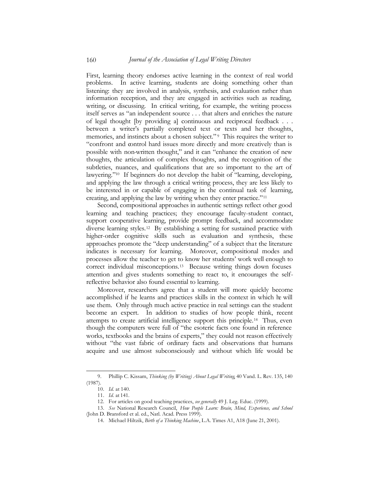First, learning theory endorses active learning in the context of real world problems. In active learning, students are doing something other than listening: they are involved in analysis, synthesis, and evaluation rather than information reception, and they are engaged in activities such as reading, writing, or discussing. In critical writing, for example, the writing process itself serves as "an independent source . . . that alters and enriches the nature of legal thought [by providing a] continuous and reciprocal feedback . . . between a writer's partially completed text or texts and her thoughts, memories, and instincts about a chosen subject."<sup>9</sup> This requires the writer to "confront and control hard issues more directly and more creatively than is possible with non-written thought," and it can "enhance the creation of new thoughts, the articulation of complex thoughts, and the recognition of the subtleties, nuances, and qualifications that are so important to the art of lawyering."10 If beginners do not develop the habit of "learning, developing, and applying the law through a critical writing process, they are less likely to be interested in or capable of engaging in the continual task of learning, creating, and applying the law by writing when they enter practice."11

Second, compositional approaches in authentic settings reflect other good learning and teaching practices; they encourage faculty-student contact, support cooperative learning, provide prompt feedback, and accommodate diverse learning styles.12 By establishing a setting for sustained practice with higher-order cognitive skills such as evaluation and synthesis, these approaches promote the "deep understanding" of a subject that the literature indicates is necessary for learning. Moreover, compositional modes and processes allow the teacher to get to know her students' work well enough to correct individual misconceptions.13 Because writing things down focuses attention and gives students something to react to, it encourages the selfreflective behavior also found essential to learning.

Moreover, researchers agree that a student will more quickly become accomplished if he learns and practices skills in the context in which he will use them. Only through much active practice in real settings can the student become an expert. In addition to studies of how people think, recent attempts to create artificial intelligence support this principle.14 Thus, even though the computers were full of "the esoteric facts one found in reference works, textbooks and the brains of experts," they could not reason effectively without "the vast fabric of ordinary facts and observations that humans acquire and use almost subconsciously and without which life would be

<sup>9.</sup> Phillip C. Kissam, *Thinking (by Writing) About Legal Writing*, 40 Vand. L. Rev. 135, 140 (1987).

<sup>10.</sup> *Id.* at 140.

<sup>11.</sup> *Id.* at 141.

<sup>12.</sup> For articles on good teaching practices, *see generally* 49 J. Leg. Educ. (1999).

<sup>13.</sup> *See* National Research Council, *How People Learn: Brain, Mind, Experience, and School* (John D. Bransford et al. ed., Natl. Acad. Press 1999).

<sup>14.</sup> Michael Hiltzik, *Birth of a Thinking Machine*, L.A. Times A1, A18 (June 21, 2001).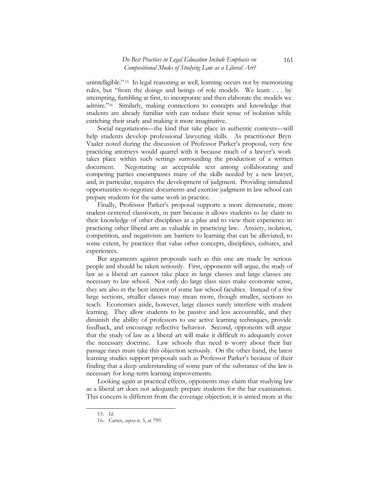#### *Do Best Practices in Legal Education Include Emphasis on Compositional Modes of Studying Law as a Liberal Art?*

unintelligible." 15 In legal reasoning as well, learning occurs not by memorizing rules, but "from the doings and beings of role models. We learn . . . by attempting, fumbling at first, to incorporate and then elaborate the models we admire."16 Similarly, making connections to concepts and knowledge that students are already familiar with can reduce their sense of isolation while enriching their study and making it more imaginative.

Social negotiations—the kind that take place in authentic contexts—will help students develop professional lawyering skills. As practitioner Bryn Vaaler noted during the discussion of Professor Parker's proposal, very few practicing attorneys would quarrel with it because much of a lawyer's work takes place within such settings surrounding the production of a written document. Negotiating an acceptable text among collaborating and competing parties encompasses many of the skills needed by a new lawyer, and, in particular, requires the development of judgment. Providing simulated opportunities to negotiate documents and exercise judgment in law school can prepare students for the same work in practice.

Finally, Professor Parker's proposal supports a more democratic, more student-centered classroom, in part because it allows students to lay claim to their knowledge of other disciplines as a plus and to view their experience in practicing other liberal arts as valuable in practicing law. Anxiety, isolation, competition, and negativism are barriers to learning that can be alleviated, to some extent, by practices that value other concepts, disciplines, cultures, and experiences.

But arguments against proposals such as this one are made by serious people and should be taken seriously. First, opponents will argue, the study of law as a liberal art cannot take place in large classes and large classes are necessary to law school. Not only do large class sizes make economic sense, they are also in the best interest of some law school faculties. Instead of a few large sections, smaller classes may mean more, though smaller, sections to teach. Economics aside, however, large classes surely interfere with student learning. They allow students to be passive and less accountable, and they diminish the ability of professors to use active learning techniques, provide feedback, and encourage reflective behavior. Second, opponents will argue that the study of law as a liberal art will make it difficult to adequately cover the necessary doctrine. Law schools that need to worry about their bar passage rates must take this objection seriously. On the other hand, the latest learning studies support proposals such as Professor Parker's because of their finding that a deep understanding of some part of the substance of the law is necessary for long-term learning improvements.

Looking again at practical effects, opponents may claim that studying law as a liberal art does not adequately prepare students for the bar examination. This concern is different from the coverage objection; it is aimed more at the

<sup>15.</sup> *Id.*

<sup>16.</sup> Carter, *supra* n. 5, at 799.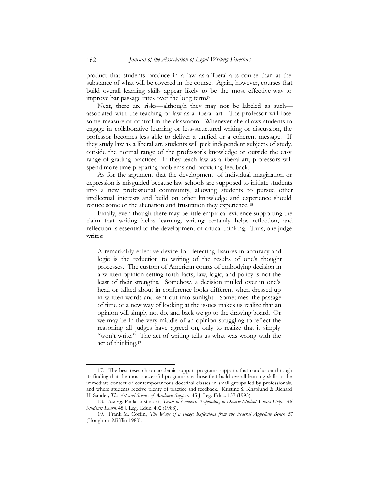product that students produce in a law-as-a-liberal-arts course than at the substance of what will be covered in the course. Again, however, courses that build overall learning skills appear likely to be the most effective way to improve bar passage rates over the long term.17

Next, there are risks—although they may not be labeled as such associated with the teaching of law as a liberal art. The professor will lose some measure of control in the classroom. Whenever she allows students to engage in collaborative learning or less-structured writing or discussion, the professor becomes less able to deliver a unified or a coherent message. If they study law as a liberal art, students will pick independent subjects of study, outside the normal range of the professor's knowledge or outside the easy range of grading practices. If they teach law as a liberal art, professors will spend more time preparing problems and providing feedback.

As for the argument that the development of individual imagination or expression is misguided because law schools are supposed to initiate students into a new professional community, allowing students to pursue other intellectual interests and build on other knowledge and experience should reduce some of the alienation and frustration they experience. 18

Finally, even though there may be little empirical evidence supporting the claim that writing helps learning, writing certainly helps reflection, and reflection is essential to the development of critical thinking. Thus, one judge writes:

A remarkably effective device for detecting fissures in accuracy and logic is the reduction to writing of the results of one's thought processes. The custom of American courts of embodying decision in a written opinion setting forth facts, law, logic, and policy is not the least of their strengths. Somehow, a decision mulled over in one's head or talked about in conference looks different when dressed up in written words and sent out into sunlight. Sometimes the passage of time or a new way of looking at the issues makes us realize that an opinion will simply not do, and back we go to the drawing board. Or we may be in the very middle of an opinion struggling to reflect the reasoning all judges have agreed on, only to realize that it simply "won't write." The act of writing tells us what was wrong with the act of thinking.19

<sup>17.</sup> The best research on academic support programs supports that conclusion through its finding that the most successful programs are those that build overall learning skills in the immediate context of contemporaneous doctrinal classes in small groups led by professionals, and where students receive plenty of practice and feedback. Kristine S. Knaplund & Richard H. Sander*, The Art and Science of Academic Support*, 45 J. Leg. Educ. 157 (1995).

<sup>18.</sup> *See e.g.* Paula Lustbader, *Teach in Context: Responding to Diverse Student Voices Helps All Students Learn*, 48 J. Leg. Educ. 402 (1988).

<sup>19.</sup> Frank M. Coffin, *The Ways of a Judge: Reflections from the Federal Appellate Bench* 57 (Houghton Mifflin 1980).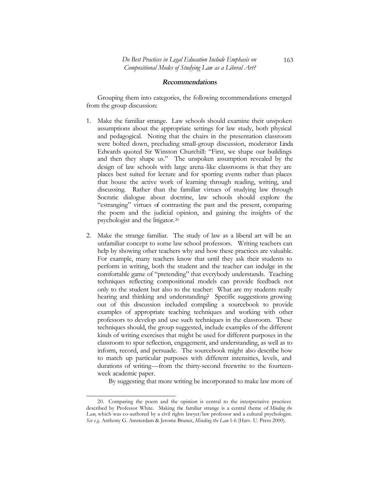#### Rec<sup>o</sup>mmendati<sup>o</sup>ns

Grouping them into categories, the following recommendations emerged from the group discussion:

- 1. Make the familiar strange. Law schools should examine their unspoken assumptions about the appropriate settings for law study, both physical and pedagogical. Noting that the chairs in the presentation classroom were bolted down, precluding small-group discussion, moderator Linda Edwards quoted Sir Winston Churchill: "First, we shape our buildings and then they shape us." The unspoken assumption revealed by the design of law schools with large arena-like classrooms is that they are places best suited for lecture and for sporting events rather than places that house the active work of learning through reading, writing, and discussing. Rather than the familiar virtues of studying law through Socratic dialogue about doctrine, law schools should explore the "estranging" virtues of contrasting the past and the present, comparing the poem and the judicial opinion, and gaining the insights of the psychologist and the litigator.20
- 2. Make the strange familiar. The study of law as a liberal art will be an unfamiliar concept to some law school professors. Writing teachers can help by showing other teachers why and how these practices are valuable. For example, many teachers know that until they ask their students to perform in writing, both the student and the teacher can indulge in the comfortable game of "pretending" that everybody understands. Teaching techniques reflecting compositional models can provide feedback not only to the student but also to the teacher: What are my students really hearing and thinking and understanding? Specific suggestions growing out of this discussion included compiling a sourcebook to provide examples of appropriate teaching techniques and working with other professors to develop and use such techniques in the classroom. These techniques should, the group suggested, include examples of the different kinds of writing exercises that might be used for different purposes in the classroom to spur reflection, engagement, and understanding, as well as to inform, record, and persuade. The sourcebook might also describe how to match up particular purposes with different intensities, levels, and durations of writing—from the thirty-second freewrite to the fourteenweek academic paper.

By suggesting that more writing be incorporated to make law more of

 $\overline{a}$ 20. Comparing the poem and the opinion is central to the interpretative practices described by Professor White. Making the familiar strange is a central theme of *Minding the Law*, which was co-authored by a civil rights lawyer/law professor and a cultural psychologist. *See e.g.* Anthony G. Amsterdam & Jerome Bruner, *Minding the Law* 1-6 (Harv. U. Press 2000).